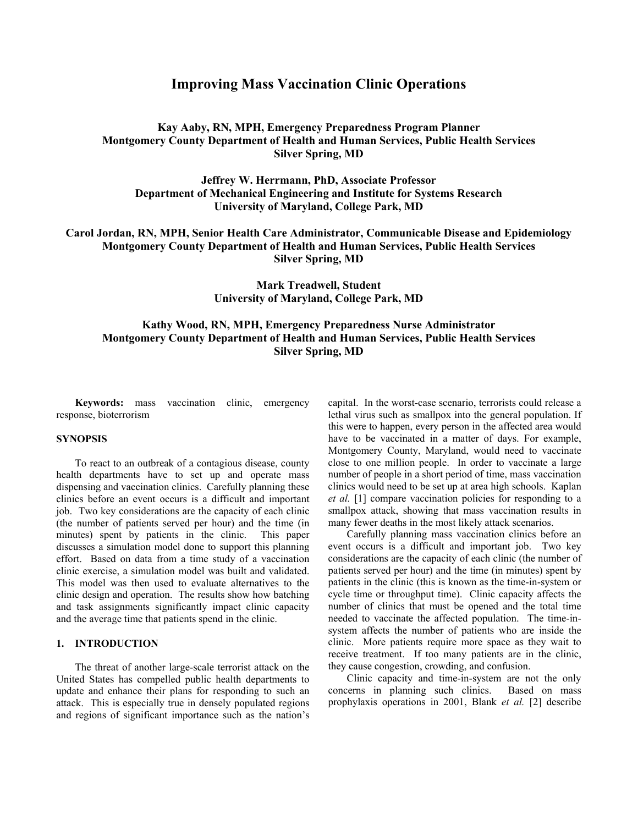# **Improving Mass Vaccination Clinic Operations**

# **Kay Aaby, RN, MPH, Emergency Preparedness Program Planner Montgomery County Department of Health and Human Services, Public Health Services Silver Spring, MD**

**Jeffrey W. Herrmann, PhD, Associate Professor Department of Mechanical Engineering and Institute for Systems Research University of Maryland, College Park, MD** 

**Carol Jordan, RN, MPH, Senior Health Care Administrator, Communicable Disease and Epidemiology Montgomery County Department of Health and Human Services, Public Health Services Silver Spring, MD** 

## **Mark Treadwell, Student University of Maryland, College Park, MD**

# **Kathy Wood, RN, MPH, Emergency Preparedness Nurse Administrator Montgomery County Department of Health and Human Services, Public Health Services Silver Spring, MD**

**Keywords:** mass vaccination clinic, emergency response, bioterrorism

#### **SYNOPSIS**

To react to an outbreak of a contagious disease, county health departments have to set up and operate mass dispensing and vaccination clinics. Carefully planning these clinics before an event occurs is a difficult and important job. Two key considerations are the capacity of each clinic (the number of patients served per hour) and the time (in minutes) spent by patients in the clinic. This paper discusses a simulation model done to support this planning effort. Based on data from a time study of a vaccination clinic exercise, a simulation model was built and validated. This model was then used to evaluate alternatives to the clinic design and operation. The results show how batching and task assignments significantly impact clinic capacity and the average time that patients spend in the clinic.

#### **1. INTRODUCTION**

The threat of another large-scale terrorist attack on the United States has compelled public health departments to update and enhance their plans for responding to such an attack. This is especially true in densely populated regions and regions of significant importance such as the nation's capital. In the worst-case scenario, terrorists could release a lethal virus such as smallpox into the general population. If this were to happen, every person in the affected area would have to be vaccinated in a matter of days. For example, Montgomery County, Maryland, would need to vaccinate close to one million people. In order to vaccinate a large number of people in a short period of time, mass vaccination clinics would need to be set up at area high schools. Kaplan *et al.* [1] compare vaccination policies for responding to a smallpox attack, showing that mass vaccination results in many fewer deaths in the most likely attack scenarios.

Carefully planning mass vaccination clinics before an event occurs is a difficult and important job. Two key considerations are the capacity of each clinic (the number of patients served per hour) and the time (in minutes) spent by patients in the clinic (this is known as the time-in-system or cycle time or throughput time). Clinic capacity affects the number of clinics that must be opened and the total time needed to vaccinate the affected population. The time-insystem affects the number of patients who are inside the clinic. More patients require more space as they wait to receive treatment. If too many patients are in the clinic, they cause congestion, crowding, and confusion.

Clinic capacity and time-in-system are not the only concerns in planning such clinics. Based on mass prophylaxis operations in 2001, Blank *et al.* [2] describe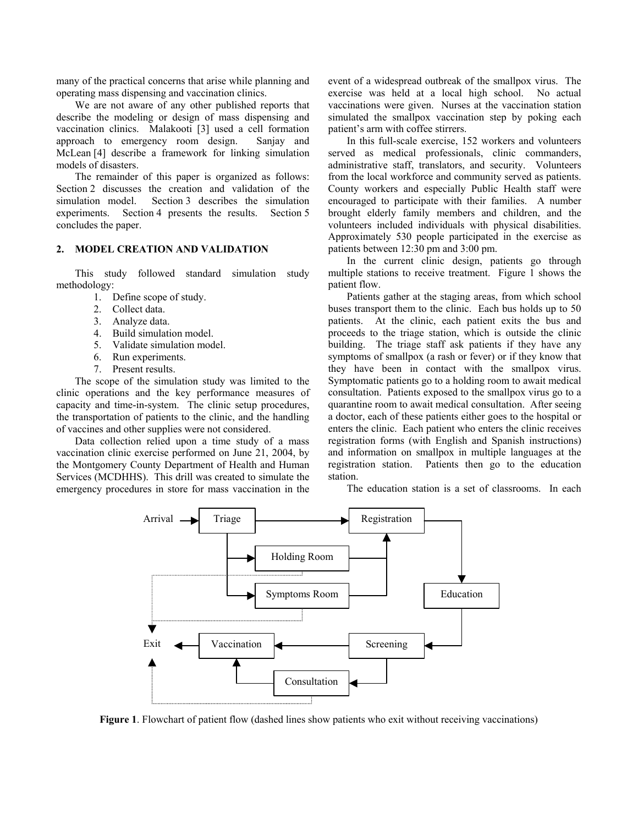many of the practical concerns that arise while planning and operating mass dispensing and vaccination clinics.

We are not aware of any other published reports that describe the modeling or design of mass dispensing and vaccination clinics. Malakooti [3] used a cell formation approach to emergency room design. Sanjay and McLean [4] describe a framework for linking simulation models of disasters.

The remainder of this paper is organized as follows: Section 2 discusses the creation and validation of the simulation model. Section 3 describes the simulation experiments. Section 4 presents the results. Section 5 concludes the paper.

### **2. MODEL CREATION AND VALIDATION**

This study followed standard simulation study methodology:

- 1. Define scope of study.
- 2. Collect data.
- 3. Analyze data.
- 4. Build simulation model.
- 5. Validate simulation model.
- 6. Run experiments.
- 7. Present results.

The scope of the simulation study was limited to the clinic operations and the key performance measures of capacity and time-in-system. The clinic setup procedures, the transportation of patients to the clinic, and the handling of vaccines and other supplies were not considered.

Data collection relied upon a time study of a mass vaccination clinic exercise performed on June 21, 2004, by the Montgomery County Department of Health and Human Services (MCDHHS). This drill was created to simulate the emergency procedures in store for mass vaccination in the

event of a widespread outbreak of the smallpox virus. The exercise was held at a local high school. No actual vaccinations were given. Nurses at the vaccination station simulated the smallpox vaccination step by poking each patient's arm with coffee stirrers.

In this full-scale exercise, 152 workers and volunteers served as medical professionals, clinic commanders, administrative staff, translators, and security. Volunteers from the local workforce and community served as patients. County workers and especially Public Health staff were encouraged to participate with their families. A number brought elderly family members and children, and the volunteers included individuals with physical disabilities. Approximately 530 people participated in the exercise as patients between 12:30 pm and 3:00 pm.

In the current clinic design, patients go through multiple stations to receive treatment. Figure 1 shows the patient flow.

Patients gather at the staging areas, from which school buses transport them to the clinic. Each bus holds up to 50 patients. At the clinic, each patient exits the bus and proceeds to the triage station, which is outside the clinic building. The triage staff ask patients if they have any symptoms of smallpox (a rash or fever) or if they know that they have been in contact with the smallpox virus. Symptomatic patients go to a holding room to await medical consultation. Patients exposed to the smallpox virus go to a quarantine room to await medical consultation. After seeing a doctor, each of these patients either goes to the hospital or enters the clinic. Each patient who enters the clinic receives registration forms (with English and Spanish instructions) and information on smallpox in multiple languages at the registration station. Patients then go to the education station.

The education station is a set of classrooms. In each



**Figure 1**. Flowchart of patient flow (dashed lines show patients who exit without receiving vaccinations)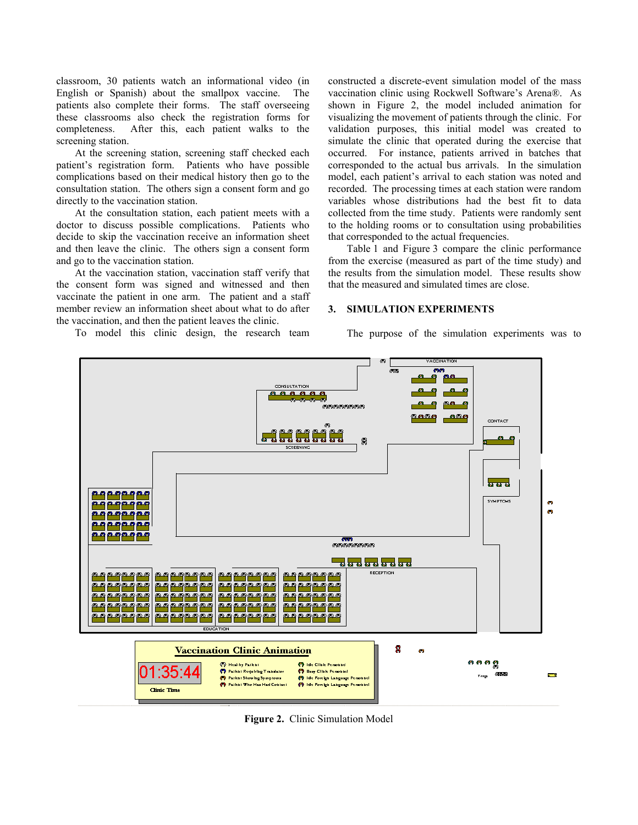classroom, 30 patients watch an informational video (in English or Spanish) about the smallpox vaccine. The patients also complete their forms. The staff overseeing these classrooms also check the registration forms for completeness. After this, each patient walks to the screening station.

At the screening station, screening staff checked each patient's registration form. Patients who have possible complications based on their medical history then go to the consultation station. The others sign a consent form and go directly to the vaccination station.

At the consultation station, each patient meets with a doctor to discuss possible complications. Patients who decide to skip the vaccination receive an information sheet and then leave the clinic. The others sign a consent form and go to the vaccination station.

At the vaccination station, vaccination staff verify that the consent form was signed and witnessed and then vaccinate the patient in one arm. The patient and a staff member review an information sheet about what to do after the vaccination, and then the patient leaves the clinic.

To model this clinic design, the research team

constructed a discrete-event simulation model of the mass vaccination clinic using Rockwell Software's Arena®. As shown in Figure 2, the model included animation for visualizing the movement of patients through the clinic. For validation purposes, this initial model was created to simulate the clinic that operated during the exercise that occurred. For instance, patients arrived in batches that corresponded to the actual bus arrivals. In the simulation model, each patient's arrival to each station was noted and recorded. The processing times at each station were random variables whose distributions had the best fit to data collected from the time study. Patients were randomly sent to the holding rooms or to consultation using probabilities that corresponded to the actual frequencies.

Table 1 and Figure 3 compare the clinic performance from the exercise (measured as part of the time study) and the results from the simulation model. These results show that the measured and simulated times are close.

## **3. SIMULATION EXPERIMENTS**

The purpose of the simulation experiments was to



**Figure 2.** Clinic Simulation Model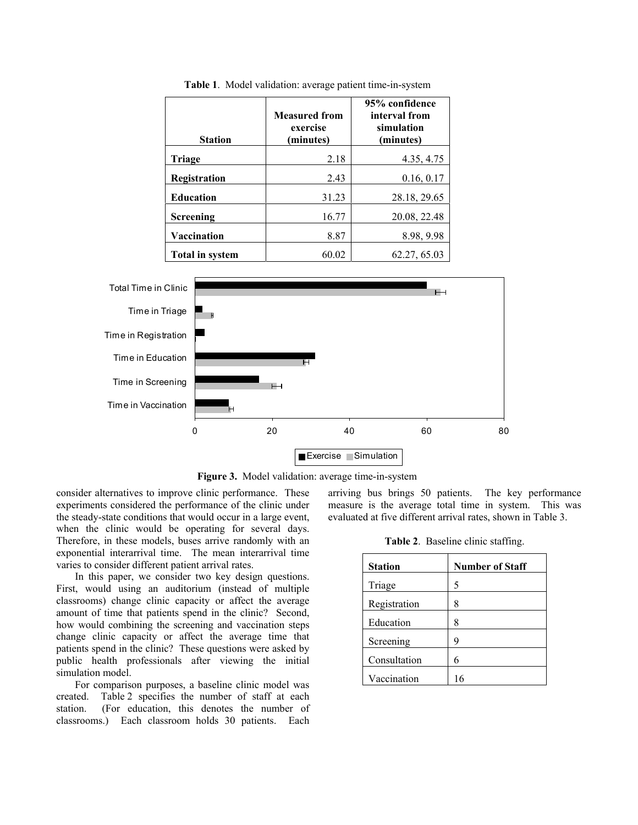| <b>Station</b>         | <b>Measured from</b><br>exercise<br>(minutes) | 95% confidence<br>interval from<br>simulation<br>(minutes) |
|------------------------|-----------------------------------------------|------------------------------------------------------------|
| Triage                 | 2.18                                          | 4.35, 4.75                                                 |
| Registration           | 2.43                                          | 0.16, 0.17                                                 |
| <b>Education</b>       | 31.23                                         | 28.18, 29.65                                               |
| <b>Screening</b>       | 16.77                                         | 20.08, 22.48                                               |
| Vaccination            | 8.87                                          | 8.98, 9.98                                                 |
| <b>Total in system</b> | 60.02                                         | 62.27, 65.03                                               |

**Table 1**. Model validation: average patient time-in-system



**Figure 3.** Model validation: average time-in-system

consider alternatives to improve clinic performance. These experiments considered the performance of the clinic under the steady-state conditions that would occur in a large event, when the clinic would be operating for several days. Therefore, in these models, buses arrive randomly with an exponential interarrival time. The mean interarrival time varies to consider different patient arrival rates.

In this paper, we consider two key design questions. First, would using an auditorium (instead of multiple classrooms) change clinic capacity or affect the average amount of time that patients spend in the clinic? Second, how would combining the screening and vaccination steps change clinic capacity or affect the average time that patients spend in the clinic? These questions were asked by public health professionals after viewing the initial simulation model.

For comparison purposes, a baseline clinic model was created. Table 2 specifies the number of staff at each station. (For education, this denotes the number of classrooms.) Each classroom holds 30 patients. Each

arriving bus brings 50 patients. The key performance measure is the average total time in system. This was evaluated at five different arrival rates, shown in Table 3.

**Table 2**. Baseline clinic staffing.

| <b>Station</b> | <b>Number of Staff</b> |
|----------------|------------------------|
| Triage         | 5                      |
| Registration   | 8                      |
| Education      | 8                      |
| Screening      | 9                      |
| Consultation   | 6                      |
| Vaccination    | 16                     |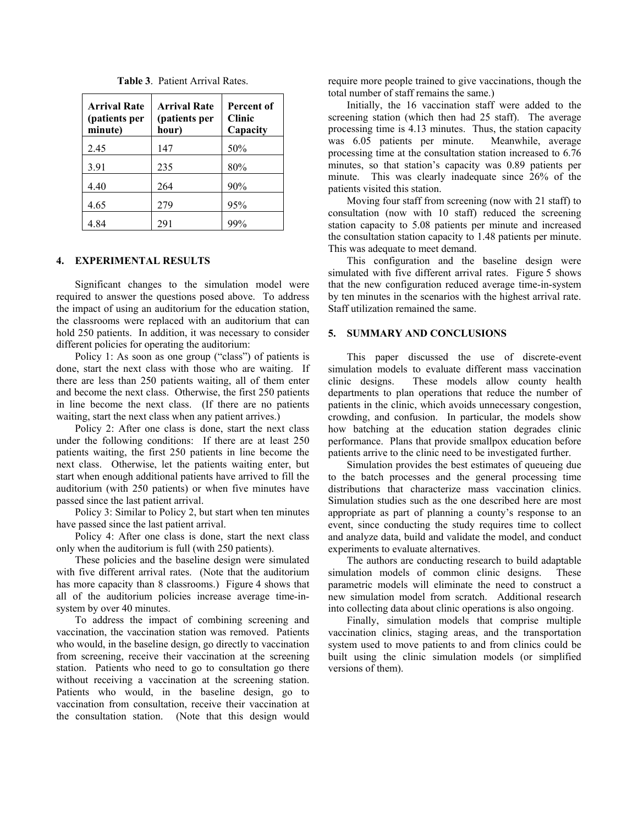| <b>Arrival Rate</b><br>(patients per<br>minute) | <b>Arrival Rate</b><br>(patients per<br>hour) | Percent of<br><b>Clinic</b><br>Capacity |
|-------------------------------------------------|-----------------------------------------------|-----------------------------------------|
| 2.45                                            | 147                                           | 50%                                     |
| 3.91                                            | 235                                           | 80%                                     |
| 4.40                                            | 264                                           | 90%                                     |
| 4.65                                            | 279                                           | 95%                                     |
| 4.84                                            | 291                                           | 99%                                     |

**Table 3**. Patient Arrival Rates.

#### **4. EXPERIMENTAL RESULTS**

Significant changes to the simulation model were required to answer the questions posed above. To address the impact of using an auditorium for the education station, the classrooms were replaced with an auditorium that can hold 250 patients. In addition, it was necessary to consider different policies for operating the auditorium:

Policy 1: As soon as one group ("class") of patients is done, start the next class with those who are waiting. If there are less than 250 patients waiting, all of them enter and become the next class. Otherwise, the first 250 patients in line become the next class. (If there are no patients waiting, start the next class when any patient arrives.)

Policy 2: After one class is done, start the next class under the following conditions: If there are at least 250 patients waiting, the first 250 patients in line become the next class. Otherwise, let the patients waiting enter, but start when enough additional patients have arrived to fill the auditorium (with 250 patients) or when five minutes have passed since the last patient arrival.

Policy 3: Similar to Policy 2, but start when ten minutes have passed since the last patient arrival.

Policy 4: After one class is done, start the next class only when the auditorium is full (with 250 patients).

These policies and the baseline design were simulated with five different arrival rates. (Note that the auditorium has more capacity than 8 classrooms.) Figure 4 shows that all of the auditorium policies increase average time-insystem by over 40 minutes.

To address the impact of combining screening and vaccination, the vaccination station was removed. Patients who would, in the baseline design, go directly to vaccination from screening, receive their vaccination at the screening station. Patients who need to go to consultation go there without receiving a vaccination at the screening station. Patients who would, in the baseline design, go to vaccination from consultation, receive their vaccination at the consultation station. (Note that this design would require more people trained to give vaccinations, though the total number of staff remains the same.)

Initially, the 16 vaccination staff were added to the screening station (which then had 25 staff). The average processing time is 4.13 minutes. Thus, the station capacity was 6.05 patients per minute. Meanwhile, average processing time at the consultation station increased to 6.76 minutes, so that station's capacity was 0.89 patients per minute. This was clearly inadequate since 26% of the patients visited this station.

Moving four staff from screening (now with 21 staff) to consultation (now with 10 staff) reduced the screening station capacity to 5.08 patients per minute and increased the consultation station capacity to 1.48 patients per minute. This was adequate to meet demand.

This configuration and the baseline design were simulated with five different arrival rates. Figure 5 shows that the new configuration reduced average time-in-system by ten minutes in the scenarios with the highest arrival rate. Staff utilization remained the same.

### **5. SUMMARY AND CONCLUSIONS**

This paper discussed the use of discrete-event simulation models to evaluate different mass vaccination clinic designs. These models allow county health departments to plan operations that reduce the number of patients in the clinic, which avoids unnecessary congestion, crowding, and confusion. In particular, the models show how batching at the education station degrades clinic performance. Plans that provide smallpox education before patients arrive to the clinic need to be investigated further.

Simulation provides the best estimates of queueing due to the batch processes and the general processing time distributions that characterize mass vaccination clinics. Simulation studies such as the one described here are most appropriate as part of planning a county's response to an event, since conducting the study requires time to collect and analyze data, build and validate the model, and conduct experiments to evaluate alternatives.

The authors are conducting research to build adaptable simulation models of common clinic designs. These parametric models will eliminate the need to construct a new simulation model from scratch. Additional research into collecting data about clinic operations is also ongoing.

Finally, simulation models that comprise multiple vaccination clinics, staging areas, and the transportation system used to move patients to and from clinics could be built using the clinic simulation models (or simplified versions of them).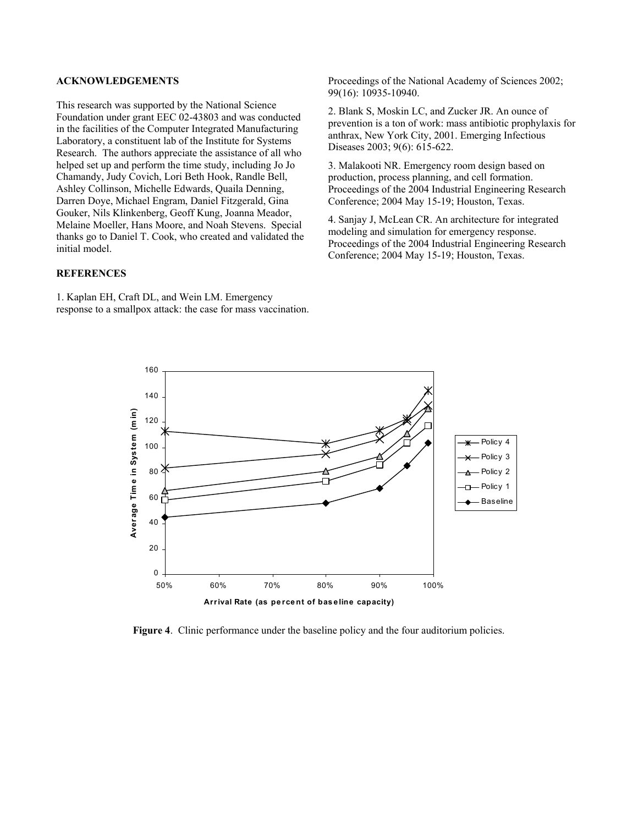## **ACKNOWLEDGEMENTS**

This research was supported by the National Science Foundation under grant EEC 02-43803 and was conducted in the facilities of the Computer Integrated Manufacturing Laboratory, a constituent lab of the Institute for Systems Research. The authors appreciate the assistance of all who helped set up and perform the time study, including Jo Jo Chamandy, Judy Covich, Lori Beth Hook, Randle Bell, Ashley Collinson, Michelle Edwards, Quaila Denning, Darren Doye, Michael Engram, Daniel Fitzgerald, Gina Gouker, Nils Klinkenberg, Geoff Kung, Joanna Meador, Melaine Moeller, Hans Moore, and Noah Stevens. Special thanks go to Daniel T. Cook, who created and validated the initial model.

### **REFERENCES**

1. Kaplan EH, Craft DL, and Wein LM. Emergency response to a smallpox attack: the case for mass vaccination. Proceedings of the National Academy of Sciences 2002; 99(16): 10935-10940.

2. Blank S, Moskin LC, and Zucker JR. An ounce of prevention is a ton of work: mass antibiotic prophylaxis for anthrax, New York City, 2001. Emerging Infectious Diseases 2003; 9(6): 615-622.

3. Malakooti NR. Emergency room design based on production, process planning, and cell formation. Proceedings of the 2004 Industrial Engineering Research Conference; 2004 May 15-19; Houston, Texas.

4. Sanjay J, McLean CR. An architecture for integrated modeling and simulation for emergency response. Proceedings of the 2004 Industrial Engineering Research Conference; 2004 May 15-19; Houston, Texas.



**Figure 4**. Clinic performance under the baseline policy and the four auditorium policies.